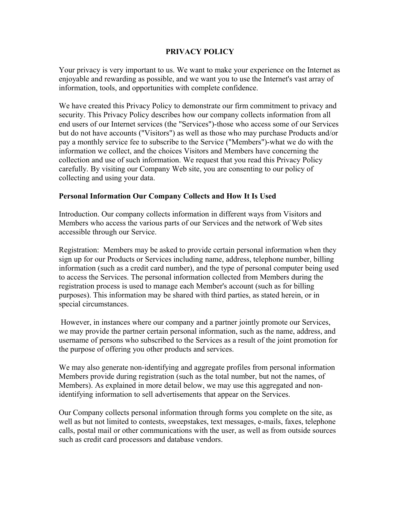## **PRIVACY POLICY**

Your privacy is very important to us. We want to make your experience on the Internet as enjoyable and rewarding as possible, and we want you to use the Internet's vast array of information, tools, and opportunities with complete confidence.

We have created this Privacy Policy to demonstrate our firm commitment to privacy and security. This Privacy Policy describes how our company collects information from all end users of our Internet services (the "Services")-those who access some of our Services but do not have accounts ("Visitors") as well as those who may purchase Products and/or pay a monthly service fee to subscribe to the Service ("Members")-what we do with the information we collect, and the choices Visitors and Members have concerning the collection and use of such information. We request that you read this Privacy Policy carefully. By visiting our Company Web site, you are consenting to our policy of collecting and using your data.

## **Personal Information Our Company Collects and How It Is Used**

Introduction. Our company collects information in different ways from Visitors and Members who access the various parts of our Services and the network of Web sites accessible through our Service.

Registration: Members may be asked to provide certain personal information when they sign up for our Products or Services including name, address, telephone number, billing information (such as a credit card number), and the type of personal computer being used to access the Services. The personal information collected from Members during the registration process is used to manage each Member's account (such as for billing purposes). This information may be shared with third parties, as stated herein, or in special circumstances.

However, in instances where our company and a partner jointly promote our Services, we may provide the partner certain personal information, such as the name, address, and username of persons who subscribed to the Services as a result of the joint promotion for the purpose of offering you other products and services.

We may also generate non-identifying and aggregate profiles from personal information Members provide during registration (such as the total number, but not the names, of Members). As explained in more detail below, we may use this aggregated and nonidentifying information to sell advertisements that appear on the Services.

Our Company collects personal information through forms you complete on the site, as well as but not limited to contests, sweepstakes, text messages, e-mails, faxes, telephone calls, postal mail or other communications with the user, as well as from outside sources such as credit card processors and database vendors.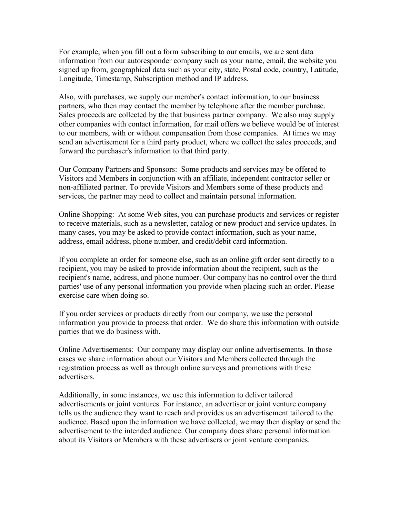For example, when you fill out a form subscribing to our emails, we are sent data information from our autoresponder company such as your name, email, the website you signed up from, geographical data such as your city, state, Postal code, country, Latitude, Longitude, Timestamp, Subscription method and IP address.

Also, with purchases, we supply our member's contact information, to our business partners, who then may contact the member by telephone after the member purchase. Sales proceeds are collected by the that business partner company. We also may supply other companies with contact information, for mail offers we believe would be of interest to our members, with or without compensation from those companies. At times we may send an advertisement for a third party product, where we collect the sales proceeds, and forward the purchaser's information to that third party.

Our Company Partners and Sponsors: Some products and services may be offered to Visitors and Members in conjunction with an affiliate, independent contractor seller or non-affiliated partner. To provide Visitors and Members some of these products and services, the partner may need to collect and maintain personal information.

Online Shopping: At some Web sites, you can purchase products and services or register to receive materials, such as a newsletter, catalog or new product and service updates. In many cases, you may be asked to provide contact information, such as your name, address, email address, phone number, and credit/debit card information.

If you complete an order for someone else, such as an online gift order sent directly to a recipient, you may be asked to provide information about the recipient, such as the recipient's name, address, and phone number. Our company has no control over the third parties' use of any personal information you provide when placing such an order. Please exercise care when doing so.

If you order services or products directly from our company, we use the personal information you provide to process that order. We do share this information with outside parties that we do business with.

Online Advertisements: Our company may display our online advertisements. In those cases we share information about our Visitors and Members collected through the registration process as well as through online surveys and promotions with these advertisers.

Additionally, in some instances, we use this information to deliver tailored advertisements or joint ventures. For instance, an advertiser or joint venture company tells us the audience they want to reach and provides us an advertisement tailored to the audience. Based upon the information we have collected, we may then display or send the advertisement to the intended audience. Our company does share personal information about its Visitors or Members with these advertisers or joint venture companies.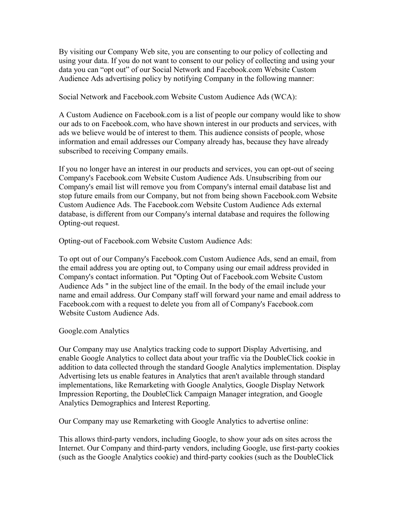By visiting our Company Web site, you are consenting to our policy of collecting and using your data. If you do not want to consent to our policy of collecting and using your data you can "opt out" of our Social Network and Facebook.com Website Custom Audience Ads advertising policy by notifying Company in the following manner:

Social Network and Facebook.com Website Custom Audience Ads (WCA):

A Custom Audience on Facebook.com is a list of people our company would like to show our ads to on Facebook.com, who have shown interest in our products and services, with ads we believe would be of interest to them. This audience consists of people, whose information and email addresses our Company already has, because they have already subscribed to receiving Company emails.

If you no longer have an interest in our products and services, you can opt-out of seeing Company's Facebook.com Website Custom Audience Ads. Unsubscribing from our Company's email list will remove you from Company's internal email database list and stop future emails from our Company, but not from being shown Facebook.com Website Custom Audience Ads. The Facebook.com Website Custom Audience Ads external database, is different from our Company's internal database and requires the following Opting-out request.

Opting-out of Facebook.com Website Custom Audience Ads:

To opt out of our Company's Facebook.com Custom Audience Ads, send an email, from the email address you are opting out, to Company using our email address provided in Company's contact information. Put "Opting Out of Facebook.com Website Custom Audience Ads " in the subject line of the email. In the body of the email include your name and email address. Our Company staff will forward your name and email address to Facebook.com with a request to delete you from all of Company's Facebook.com Website Custom Audience Ads.

## Google.com Analytics

Our Company may use Analytics tracking code to support Display Advertising, and enable Google Analytics to collect data about your traffic via the DoubleClick cookie in addition to data collected through the standard Google Analytics implementation. Display Advertising lets us enable features in Analytics that aren't available through standard implementations, like Remarketing with Google Analytics, Google Display Network Impression Reporting, the DoubleClick Campaign Manager integration, and Google Analytics Demographics and Interest Reporting.

Our Company may use Remarketing with Google Analytics to advertise online:

This allows third-party vendors, including Google, to show your ads on sites across the Internet. Our Company and third-party vendors, including Google, use first-party cookies (such as the Google Analytics cookie) and third-party cookies (such as the DoubleClick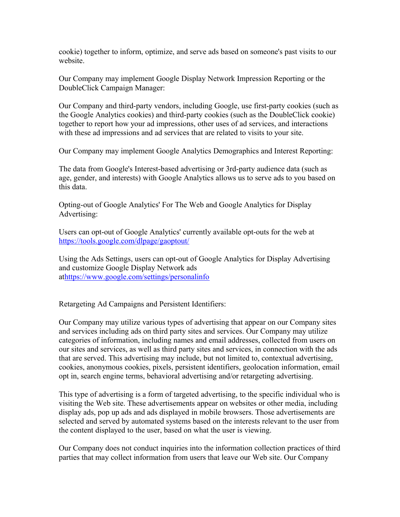cookie) together to inform, optimize, and serve ads based on someone's past visits to our website.

Our Company may implement Google Display Network Impression Reporting or the DoubleClick Campaign Manager:

Our Company and third-party vendors, including Google, use first-party cookies (such as the Google Analytics cookies) and third-party cookies (such as the DoubleClick cookie) together to report how your ad impressions, other uses of ad services, and interactions with these ad impressions and ad services that are related to visits to your site.

Our Company may implement Google Analytics Demographics and Interest Reporting:

The data from Google's Interest-based advertising or 3rd-party audience data (such as age, gender, and interests) with Google Analytics allows us to serve ads to you based on this data.

Opting-out of Google Analytics' For The Web and Google Analytics for Display Advertising:

Users can opt-out of Google Analytics' currently available opt-outs for the web at <https://tools.google.com/dlpage/gaoptout/>

Using the Ads Settings, users can opt-out of Google Analytics for Display Advertising and customize Google Display Network ads a[thttps://www.google.com/settings/personalinfo](https://www.google.com/settings/personalinfo)

Retargeting Ad Campaigns and Persistent Identifiers:

Our Company may utilize various types of advertising that appear on our Company sites and services including ads on third party sites and services. Our Company may utilize categories of information, including names and email addresses, collected from users on our sites and services, as well as third party sites and services, in connection with the ads that are served. This advertising may include, but not limited to, contextual advertising, cookies, anonymous cookies, pixels, persistent identifiers, geolocation information, email opt in, search engine terms, behavioral advertising and/or retargeting advertising.

This type of advertising is a form of targeted advertising, to the specific individual who is visiting the Web site. These advertisements appear on websites or other media, including display ads, pop up ads and ads displayed in mobile browsers. Those advertisements are selected and served by automated systems based on the interests relevant to the user from the content displayed to the user, based on what the user is viewing.

Our Company does not conduct inquiries into the information collection practices of third parties that may collect information from users that leave our Web site. Our Company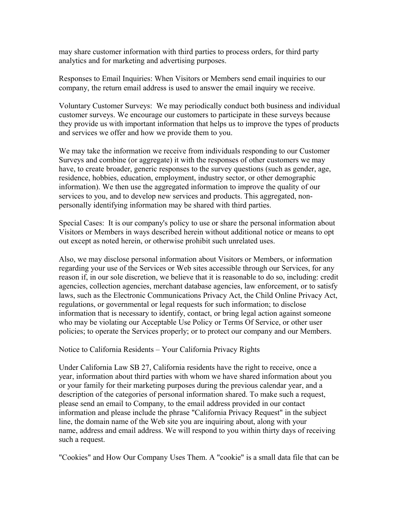may share customer information with third parties to process orders, for third party analytics and for marketing and advertising purposes.

Responses to Email Inquiries: When Visitors or Members send email inquiries to our company, the return email address is used to answer the email inquiry we receive.

Voluntary Customer Surveys: We may periodically conduct both business and individual customer surveys. We encourage our customers to participate in these surveys because they provide us with important information that helps us to improve the types of products and services we offer and how we provide them to you.

We may take the information we receive from individuals responding to our Customer Surveys and combine (or aggregate) it with the responses of other customers we may have, to create broader, generic responses to the survey questions (such as gender, age, residence, hobbies, education, employment, industry sector, or other demographic information). We then use the aggregated information to improve the quality of our services to you, and to develop new services and products. This aggregated, nonpersonally identifying information may be shared with third parties.

Special Cases: It is our company's policy to use or share the personal information about Visitors or Members in ways described herein without additional notice or means to opt out except as noted herein, or otherwise prohibit such unrelated uses.

Also, we may disclose personal information about Visitors or Members, or information regarding your use of the Services or Web sites accessible through our Services, for any reason if, in our sole discretion, we believe that it is reasonable to do so, including: credit agencies, collection agencies, merchant database agencies, law enforcement, or to satisfy laws, such as the Electronic Communications Privacy Act, the Child Online Privacy Act, regulations, or governmental or legal requests for such information; to disclose information that is necessary to identify, contact, or bring legal action against someone who may be violating our Acceptable Use Policy or Terms Of Service, or other user policies; to operate the Services properly; or to protect our company and our Members.

## Notice to California Residents – Your California Privacy Rights

Under California Law SB 27, California residents have the right to receive, once a year, information about third parties with whom we have shared information about you or your family for their marketing purposes during the previous calendar year, and a description of the categories of personal information shared. To make such a request, please send an email to Company, to the email address provided in our contact information and please include the phrase "California Privacy Request" in the subject line, the domain name of the Web site you are inquiring about, along with your name, address and email address. We will respond to you within thirty days of receiving such a request.

"Cookies" and How Our Company Uses Them. A "cookie" is a small data file that can be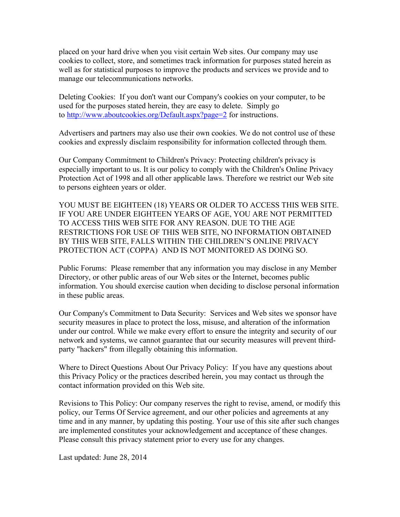placed on your hard drive when you visit certain Web sites. Our company may use cookies to collect, store, and sometimes track information for purposes stated herein as well as for statistical purposes to improve the products and services we provide and to manage our telecommunications networks.

Deleting Cookies: If you don't want our Company's cookies on your computer, to be used for the purposes stated herein, they are easy to delete. Simply go to <http://www.aboutcookies.org/Default.aspx?page=2>for instructions.

Advertisers and partners may also use their own cookies. We do not control use of these cookies and expressly disclaim responsibility for information collected through them.

Our Company Commitment to Children's Privacy: Protecting children's privacy is especially important to us. It is our policy to comply with the Children's Online Privacy Protection Act of 1998 and all other applicable laws. Therefore we restrict our Web site to persons eighteen years or older.

YOU MUST BE EIGHTEEN (18) YEARS OR OLDER TO ACCESS THIS WEB SITE. IF YOU ARE UNDER EIGHTEEN YEARS OF AGE, YOU ARE NOT PERMITTED TO ACCESS THIS WEB SITE FOR ANY REASON. DUE TO THE AGE RESTRICTIONS FOR USE OF THIS WEB SITE, NO INFORMATION OBTAINED BY THIS WEB SITE, FALLS WITHIN THE CHILDREN'S ONLINE PRIVACY PROTECTION ACT (COPPA) AND IS NOT MONITORED AS DOING SO.

Public Forums: Please remember that any information you may disclose in any Member Directory, or other public areas of our Web sites or the Internet, becomes public information. You should exercise caution when deciding to disclose personal information in these public areas.

Our Company's Commitment to Data Security: Services and Web sites we sponsor have security measures in place to protect the loss, misuse, and alteration of the information under our control. While we make every effort to ensure the integrity and security of our network and systems, we cannot guarantee that our security measures will prevent thirdparty "hackers" from illegally obtaining this information.

Where to Direct Questions About Our Privacy Policy: If you have any questions about this Privacy Policy or the practices described herein, you may contact us through the contact information provided on this Web site.

Revisions to This Policy: Our company reserves the right to revise, amend, or modify this policy, our Terms Of Service agreement, and our other policies and agreements at any time and in any manner, by updating this posting. Your use of this site after such changes are implemented constitutes your acknowledgement and acceptance of these changes. Please consult this privacy statement prior to every use for any changes.

Last updated: June 28, 2014